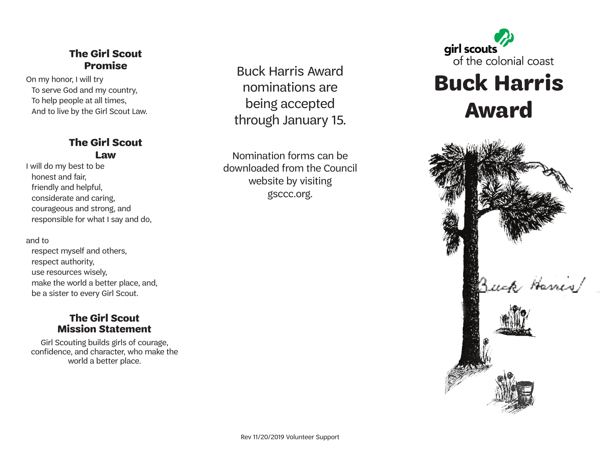### **The Girl Scout Promise**

On my honor, I will try To serve God and my country, To help people at all times, And to live by the Girl Scout Law.

#### **The Girl Scout Law**

I will do my best to be honest and fair, friendly and helpful, considerate and caring, courageous and strong, and responsible for what I say and do,

and to

respect myself and others, respect authority, use resources wisely, make the world a better place, and, be a sister to every Girl Scout.

#### **The Girl Scout Mission Statement**

Girl Scouting builds girls of courage, confidence, and character, who make the world a better place.

Buck Harris Award nominations are being accepted through January 15.

Nomination forms can be downloaded from the Council website by visiting gsccc.org.



# **Buck Harris Award**